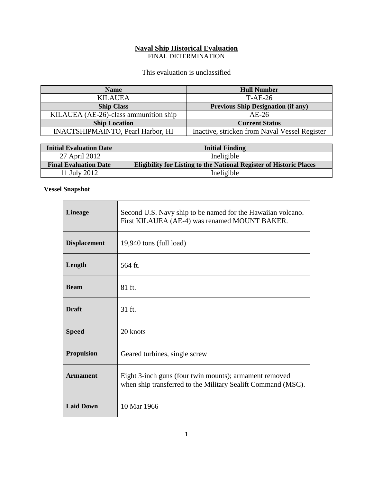# **Naval Ship Historical Evaluation**

FINAL DETERMINATION

## This evaluation is unclassified

| <b>Name</b>                              | <b>Hull Number</b>                            |
|------------------------------------------|-----------------------------------------------|
| <b>KILAUEA</b>                           | T-AE-26                                       |
| <b>Ship Class</b>                        | <b>Previous Ship Designation (if any)</b>     |
| KILAUEA (AE-26)-class ammunition ship    | $AE-26$                                       |
| <b>Ship Location</b>                     | <b>Current Status</b>                         |
| <b>INACTSHIPMAINTO, Pearl Harbor, HI</b> | Inactive, stricken from Naval Vessel Register |

| <b>Initial Evaluation Date</b> | <b>Initial Finding</b>                                                     |
|--------------------------------|----------------------------------------------------------------------------|
| 27 April 2012                  | Ineligible                                                                 |
| <b>Final Evaluation Date</b>   | <b>Eligibility for Listing to the National Register of Historic Places</b> |
| 11 July 2012                   | Ineligible                                                                 |

## **Vessel Snapshot**

| <b>Lineage</b>      | Second U.S. Navy ship to be named for the Hawaiian volcano.<br>First KILAUEA (AE-4) was renamed MOUNT BAKER.           |  |
|---------------------|------------------------------------------------------------------------------------------------------------------------|--|
| <b>Displacement</b> | 19,940 tons (full load)                                                                                                |  |
| Length              | 564 ft.                                                                                                                |  |
| <b>Beam</b>         | 81 ft.                                                                                                                 |  |
| <b>Draft</b>        | 31 ft.                                                                                                                 |  |
| <b>Speed</b>        | 20 knots                                                                                                               |  |
| <b>Propulsion</b>   | Geared turbines, single screw                                                                                          |  |
| <b>Armament</b>     | Eight 3-inch guns (four twin mounts); armament removed<br>when ship transferred to the Military Sealift Command (MSC). |  |
| <b>Laid Down</b>    | 10 Mar 1966                                                                                                            |  |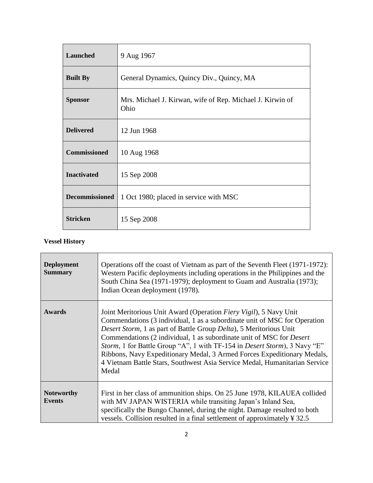| <b>Launched</b>       | 9 Aug 1967                                                        |
|-----------------------|-------------------------------------------------------------------|
| <b>Built By</b>       | General Dynamics, Quincy Div., Quincy, MA                         |
| <b>Sponsor</b>        | Mrs. Michael J. Kirwan, wife of Rep. Michael J. Kirwin of<br>Ohio |
| <b>Delivered</b>      | 12 Jun 1968                                                       |
| <b>Commissioned</b>   | 10 Aug 1968                                                       |
| <b>Inactivated</b>    | 15 Sep 2008                                                       |
| <b>Decommissioned</b> | 1 Oct 1980; placed in service with MSC                            |
| <b>Stricken</b>       | 15 Sep 2008                                                       |

## **Vessel History**

| <b>Deployment</b><br><b>Summary</b> | Operations off the coast of Vietnam as part of the Seventh Fleet (1971-1972):<br>Western Pacific deployments including operations in the Philippines and the<br>South China Sea (1971-1979); deployment to Guam and Australia (1973);<br>Indian Ocean deployment (1978).                                                                                                                                                                                                                                                                           |  |
|-------------------------------------|----------------------------------------------------------------------------------------------------------------------------------------------------------------------------------------------------------------------------------------------------------------------------------------------------------------------------------------------------------------------------------------------------------------------------------------------------------------------------------------------------------------------------------------------------|--|
| Awards                              | Joint Meritorious Unit Award (Operation Fiery Vigil), 5 Navy Unit<br>Commendations (3 individual, 1 as a subordinate unit of MSC for Operation<br>Desert Storm, 1 as part of Battle Group Delta), 5 Meritorious Unit<br>Commendations (2 individual, 1 as subordinate unit of MSC for <i>Desert</i><br>Storm, 1 for Battle Group "A", 1 with TF-154 in Desert Storm), 3 Navy "E"<br>Ribbons, Navy Expeditionary Medal, 3 Armed Forces Expeditionary Medals,<br>4 Vietnam Battle Stars, Southwest Asia Service Medal, Humanitarian Service<br>Medal |  |
| <b>Noteworthy</b><br><b>Events</b>  | First in her class of ammunition ships. On 25 June 1978, KILAUEA collided<br>with MV JAPAN WISTERIA while transiting Japan's Inland Sea,<br>specifically the Bungo Channel, during the night. Damage resulted to both<br>vessels. Collision resulted in a final settlement of approximately ¥ 32.5                                                                                                                                                                                                                                                 |  |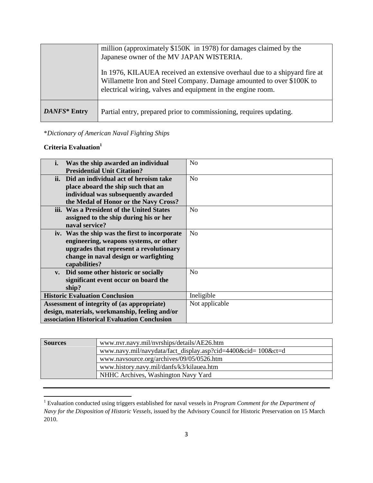|              | million (approximately \$150K in 1978) for damages claimed by the<br>Japanese owner of the MV JAPAN WISTERIA.<br>In 1976, KILAUEA received an extensive overhaul due to a ship and fire at<br>Willamette Iron and Steel Company. Damage amounted to over \$100K to<br>electrical wiring, valves and equipment in the engine room. |
|--------------|-----------------------------------------------------------------------------------------------------------------------------------------------------------------------------------------------------------------------------------------------------------------------------------------------------------------------------------|
| DANFS* Entry | Partial entry, prepared prior to commissioning, requires updating.                                                                                                                                                                                                                                                                |

\**Dictionary of American Naval Fighting Ships*

## **Criteria Evaluation<sup>1</sup>**

 $\overline{a}$ 

| i.                                             | Was the ship awarded an individual            | N <sub>o</sub> |
|------------------------------------------------|-----------------------------------------------|----------------|
|                                                | <b>Presidential Unit Citation?</b>            |                |
| ii.                                            | Did an individual act of heroism take         | No             |
|                                                | place aboard the ship such that an            |                |
|                                                | individual was subsequently awarded           |                |
|                                                | the Medal of Honor or the Navy Cross?         |                |
|                                                | iii. Was a President of the United States     | N <sub>o</sub> |
|                                                | assigned to the ship during his or her        |                |
|                                                | naval service?                                |                |
|                                                | iv. Was the ship was the first to incorporate | N <sub>0</sub> |
|                                                | engineering, weapons systems, or other        |                |
|                                                | upgrades that represent a revolutionary       |                |
|                                                | change in naval design or warfighting         |                |
|                                                | capabilities?                                 |                |
|                                                | v. Did some other historic or socially        | N <sub>0</sub> |
|                                                | significant event occur on board the          |                |
|                                                | ship?                                         |                |
|                                                | <b>Historic Evaluation Conclusion</b>         | Ineligible     |
|                                                | Assessment of integrity of (as appropriate)   | Not applicable |
| design, materials, workmanship, feeling and/or |                                               |                |
| association Historical Evaluation Conclusion   |                                               |                |

| <b>Sources</b> | www.nvr.navy.mil/nvrships/details/AE26.htm                   |  |
|----------------|--------------------------------------------------------------|--|
|                | www.navy.mil/navydata/fact_display.asp?cid=4400&cid=100&ct=d |  |
|                | www.navsource.org/archives/09/05/0526.htm                    |  |
|                | www.history.navy.mil/danfs/k3/kilauea.htm                    |  |
|                | NHHC Archives, Washington Navy Yard                          |  |

<sup>1</sup> Evaluation conducted using triggers established for naval vessels in *Program Comment for the Department of Navy for the Disposition of Historic Vessels*, issued by the Advisory Council for Historic Preservation on 15 March 2010.